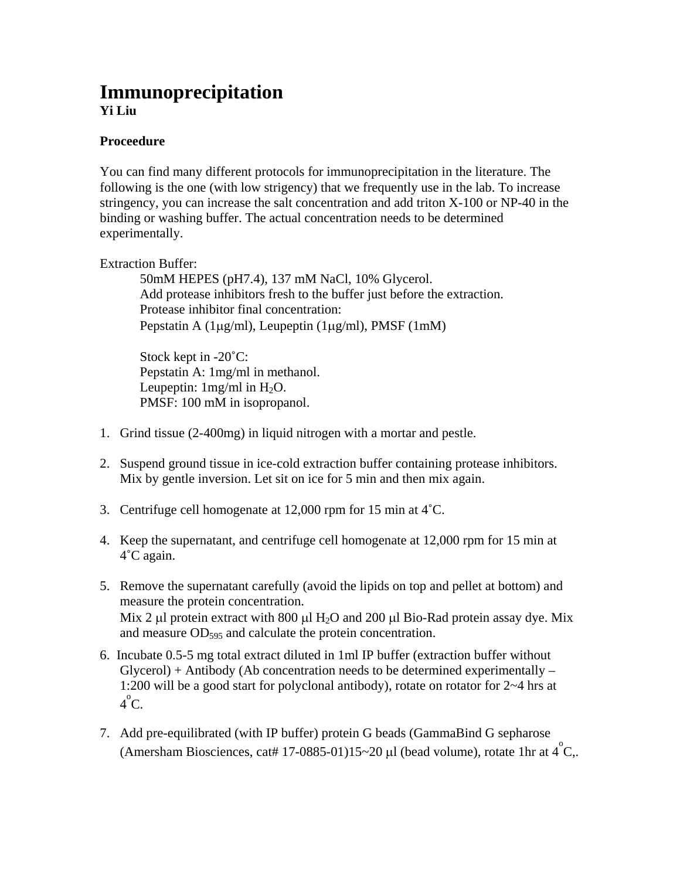## **Immunoprecipitation Yi Liu**

## **Proceedure**

You can find many different protocols for immunoprecipitation in the literature. The following is the one (with low strigency) that we frequently use in the lab. To increase stringency, you can increase the salt concentration and add triton X-100 or NP-40 in the binding or washing buffer. The actual concentration needs to be determined experimentally.

Extraction Buffer:

50mM HEPES (pH7.4), 137 mM NaCl, 10% Glycerol. Add protease inhibitors fresh to the buffer just before the extraction. Protease inhibitor final concentration: Pepstatin A (1µg/ml), Leupeptin (1µg/ml), PMSF (1mM)

Stock kept in -20˚C: Pepstatin A: 1mg/ml in methanol. Leupeptin:  $1mg/ml$  in  $H_2O$ . PMSF: 100 mM in isopropanol.

- 1. Grind tissue (2-400mg) in liquid nitrogen with a mortar and pestle.
- 2. Suspend ground tissue in ice-cold extraction buffer containing protease inhibitors. Mix by gentle inversion. Let sit on ice for 5 min and then mix again.
- 3. Centrifuge cell homogenate at 12,000 rpm for 15 min at 4˚C.
- 4. Keep the supernatant, and centrifuge cell homogenate at 12,000 rpm for 15 min at 4˚C again.
- 5. Remove the supernatant carefully (avoid the lipids on top and pellet at bottom) and measure the protein concentration. Mix 2 µl protein extract with 800 µl H<sub>2</sub>O and 200 µl Bio-Rad protein assay dye. Mix and measure  $OD<sub>595</sub>$  and calculate the protein concentration.
- 6. Incubate 0.5-5 mg total extract diluted in 1ml IP buffer (extraction buffer without  $Glycerol$ ) + Antibody (Ab concentration needs to be determined experimentally – 1:200 will be a good start for polyclonal antibody), rotate on rotator for 2~4 hrs at  $4^{\circ}$ C.
- 7. Add pre-equilibrated (with IP buffer) protein G beads (GammaBind G sepharose (Amersham Biosciences, cat# 17-0885-01)15~20 µl (bead volume), rotate 1hr at  $4^{\circ}$ C,.